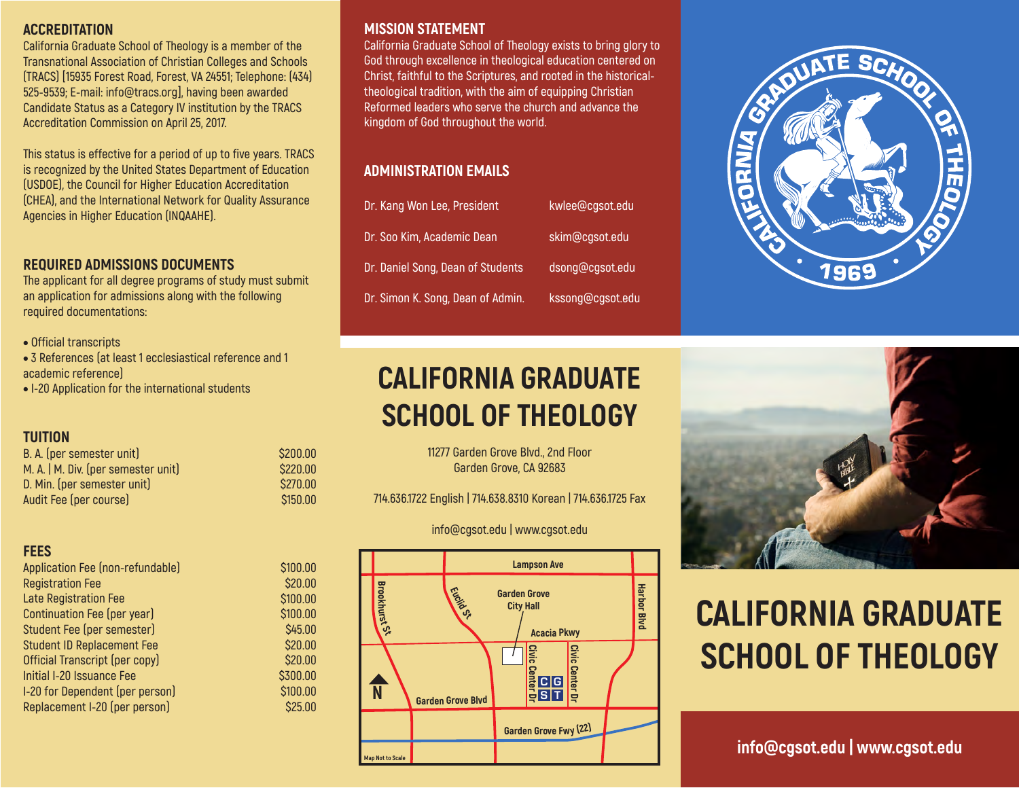#### **ACCREDITATION**

**California Graduate School of Theology is a member of the Transnational Association of Christian Colleges and Schools (TRACS) [15935 Forest Road, Forest, VA 24551; Telephone: (434) 525-9539; E-mail: info@tracs.org], having been awarded Candidate Status as a Category IV institution by the TRACS Accreditation Commission on April 25, 2017.**

**This status is effective for a period of up to five years. TRACS is recognized by the United States Department of Education (USDOE), the Council for Higher Education Accreditation (CHEA), and the International Network for Quality Assurance Agencies in Higher Education (INQAAHE).**

## **REQUIRED ADMISSIONS DOCUMENTS**

**The applicant for all degree programs of study must submit an application for admissions along with the following required documentations:**

- • **Official transcripts**
- • **3 References (at least 1 ecclesiastical reference and 1 academic reference)**

**\$200.00 \$220.00 \$270.00 \$150.00**

**\$100.00 \$20.00 \$100.00 \$100.00 \$45.00 \$20.00 \$20.00 \$300.00 \$100.00 \$25.00**

• **I-20 Application for the international students**

### **TUITION**

| Application Fee (non-refundable)  |  |
|-----------------------------------|--|
| <b>Registration Fee</b>           |  |
| <b>Late Registration Fee</b>      |  |
| Continuation Fee (per year)       |  |
| Student Fee (per semester)        |  |
| <b>Student ID Replacement Fee</b> |  |
| Official Transcript (per copy)    |  |
| Initial I-20 Issuance Fee         |  |
| I-20 for Dependent (per person)   |  |
| Replacement I-20 (per person)     |  |
|                                   |  |

### **MISSION STATEMENT**

**California Graduate School of Theology exists to bring glory to God through excellence in theological education centered on Christ, faithful to the Scriptures, and rooted in the historicaltheological tradition, with the aim of equipping Christian Reformed leaders who serve the church and advance the kingdom of God throughout the world.**

## **ADMINISTRATION EMAILS**

| Dr. Kang Won Lee, President       | kwlee@cgsot.edu  |
|-----------------------------------|------------------|
| Dr. Soo Kim, Academic Dean        | skim@cgsot.edu   |
| Dr. Daniel Song, Dean of Students | dsong@cgsot.edu  |
| Dr. Simon K. Song, Dean of Admin. | kssong@cgsot.edu |

## **CALIFORNIA GRADUATE SCHOOL OF THEOLOGY**

**11277 Garden Grove Blvd., 2nd Floor Garden Grove, CA 92683**

**714.636.1722 English | 714.638.8310 Korean | 714.636.1725 Fax**

#### **info@cgsot.edu | www.cgsot.edu**







# **CALIFORNIA GRADUATE SCHOOL OF THEOLOGY**

## **info@cgsot.edu | www.cgsot.edu**